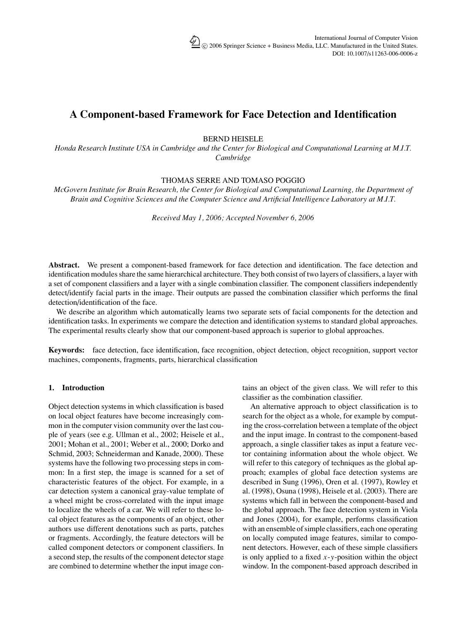# **A Component-based Framework for Face Detection and Identification**

BERND HEISELE

*Honda Research Institute USA in Cambridge and the Center for Biological and Computational Learning at M.I.T. Cambridge*

### THOMAS SERRE AND TOMASO POGGIO

*McGovern Institute for Brain Research, the Center for Biological and Computational Learning, the Department of Brain and Cognitive Sciences and the Computer Science and Artificial Intelligence Laboratory at M.I.T.*

*Received May 1, 2006; Accepted November 6, 2006*

**Abstract.** We present a component-based framework for face detection and identification. The face detection and identification modules share the same hierarchical architecture. They both consist of two layers of classifiers, a layer with a set of component classifiers and a layer with a single combination classifier. The component classifiers independently detect/identify facial parts in the image. Their outputs are passed the combination classifier which performs the final detection/identification of the face.

We describe an algorithm which automatically learns two separate sets of facial components for the detection and identification tasks. In experiments we compare the detection and identification systems to standard global approaches. The experimental results clearly show that our component-based approach is superior to global approaches.

**Keywords:** face detection, face identification, face recognition, object detection, object recognition, support vector machines, components, fragments, parts, hierarchical classification

### **1. Introduction**

Object detection systems in which classification is based on local object features have become increasingly common in the computer vision community over the last couple of years (see e.g. Ullman et al., 2002; Heisele et al., 2001; Mohan et al., 2001; Weber et al., 2000; Dorko and Schmid, 2003; Schneiderman and Kanade, 2000). These systems have the following two processing steps in common: In a first step, the image is scanned for a set of characteristic features of the object. For example, in a car detection system a canonical gray-value template of a wheel might be cross-correlated with the input image to localize the wheels of a car. We will refer to these local object features as the components of an object, other authors use different denotations such as parts, patches or fragments. Accordingly, the feature detectors will be called component detectors or component classifiers. In a second step, the results of the component detector stage are combined to determine whether the input image contains an object of the given class. We will refer to this classifier as the combination classifier.

An alternative approach to object classification is to search for the object as a whole, for example by computing the cross-correlation between a template of the object and the input image. In contrast to the component-based approach, a single classifier takes as input a feature vector containing information about the whole object. We will refer to this category of techniques as the global approach; examples of global face detection systems are described in Sung (1996), Oren et al. (1997), Rowley et al. (1998), Osuna (1998), Heisele et al. (2003). There are systems which fall in between the component-based and the global approach. The face detection system in Viola and Jones (2004), for example, performs classification with an ensemble of simple classifiers, each one operating on locally computed image features, similar to component detectors. However, each of these simple classifiers is only applied to a fixed *x*-*y*-position within the object window. In the component-based approach described in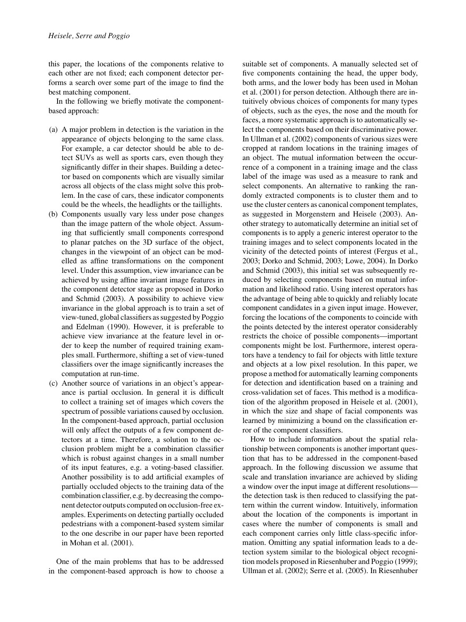this paper, the locations of the components relative to each other are not fixed; each component detector performs a search over some part of the image to find the best matching component.

In the following we briefly motivate the componentbased approach:

- (a) A major problem in detection is the variation in the appearance of objects belonging to the same class. For example, a car detector should be able to detect SUVs as well as sports cars, even though they significantly differ in their shapes. Building a detector based on components which are visually similar across all objects of the class might solve this problem. In the case of cars, these indicator components could be the wheels, the headlights or the taillights.
- (b) Components usually vary less under pose changes than the image pattern of the whole object. Assuming that sufficiently small components correspond to planar patches on the 3D surface of the object, changes in the viewpoint of an object can be modelled as affine transformations on the component level. Under this assumption, view invariance can be achieved by using affine invariant image features in the component detector stage as proposed in Dorko and Schmid (2003). A possibility to achieve view invariance in the global approach is to train a set of view-tuned, global classifiers as suggested by Poggio and Edelman (1990). However, it is preferable to achieve view invariance at the feature level in order to keep the number of required training examples small. Furthermore, shifting a set of view-tuned classifiers over the image significantly increases the computation at run-time.
- (c) Another source of variations in an object's appearance is partial occlusion. In general it is difficult to collect a training set of images which covers the spectrum of possible variations caused by occlusion. In the component-based approach, partial occlusion will only affect the outputs of a few component detectors at a time. Therefore, a solution to the occlusion problem might be a combination classifier which is robust against changes in a small number of its input features, e.g. a voting-based classifier. Another possibility is to add artificial examples of partially occluded objects to the training data of the combination classifier, e.g. by decreasing the component detector outputs computed on occlusion-free examples. Experiments on detecting partially occluded pedestrians with a component-based system similar to the one describe in our paper have been reported in Mohan et al. (2001).

One of the main problems that has to be addressed in the component-based approach is how to choose a suitable set of components. A manually selected set of five components containing the head, the upper body, both arms, and the lower body has been used in Mohan et al. (2001) for person detection. Although there are intuitively obvious choices of components for many types of objects, such as the eyes, the nose and the mouth for faces, a more systematic approach is to automatically select the components based on their discriminative power. In Ullman et al. (2002) components of various sizes were cropped at random locations in the training images of an object. The mutual information between the occurrence of a component in a training image and the class label of the image was used as a measure to rank and select components. An alternative to ranking the randomly extracted components is to cluster them and to use the cluster centers as canonical component templates, as suggested in Morgenstern and Heisele (2003). Another strategy to automatically determine an initial set of components is to apply a generic interest operator to the training images and to select components located in the vicinity of the detected points of interest (Fergus et al., 2003; Dorko and Schmid, 2003; Lowe, 2004). In Dorko and Schmid (2003), this initial set was subsequently reduced by selecting components based on mutual information and likelihood ratio. Using interest operators has the advantage of being able to quickly and reliably locate component candidates in a given input image. However, forcing the locations of the components to coincide with the points detected by the interest operator considerably restricts the choice of possible components—important components might be lost. Furthermore, interest operators have a tendency to fail for objects with little texture and objects at a low pixel resolution. In this paper, we propose a method for automatically learning components for detection and identification based on a training and cross-validation set of faces. This method is a modification of the algorithm proposed in Heisele et al. (2001), in which the size and shape of facial components was learned by minimizing a bound on the classification error of the component classifiers.

How to include information about the spatial relationship between components is another important question that has to be addressed in the component-based approach. In the following discussion we assume that scale and translation invariance are achieved by sliding a window over the input image at different resolutions the detection task is then reduced to classifying the pattern within the current window. Intuitively, information about the location of the components is important in cases where the number of components is small and each component carries only little class-specific information. Omitting any spatial information leads to a detection system similar to the biological object recognition models proposed in Riesenhuber and Poggio (1999); Ullman et al. (2002); Serre et al. (2005). In Riesenhuber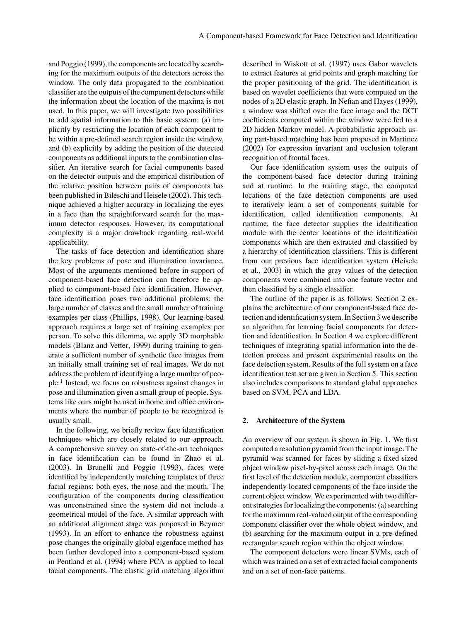and Poggio (1999), the components are located by searching for the maximum outputs of the detectors across the window. The only data propagated to the combination classifier are the outputs of the component detectors while the information about the location of the maxima is not used. In this paper, we will investigate two possibilities to add spatial information to this basic system: (a) implicitly by restricting the location of each component to be within a pre-defined search region inside the window, and (b) explicitly by adding the position of the detected components as additional inputs to the combination classifier. An iterative search for facial components based on the detector outputs and the empirical distribution of the relative position between pairs of components has been published in Bileschi and Heisele (2002). This technique achieved a higher accuracy in localizing the eyes in a face than the straightforward search for the maximum detector responses. However, its computational complexity is a major drawback regarding real-world applicability.

The tasks of face detection and identification share the key problems of pose and illumination invariance. Most of the arguments mentioned before in support of component-based face detection can therefore be applied to component-based face identification. However, face identification poses two additional problems: the large number of classes and the small number of training examples per class (Phillips, 1998). Our learning-based approach requires a large set of training examples per person. To solve this dilemma, we apply 3D morphable models (Blanz and Vetter, 1999) during training to generate a sufficient number of synthetic face images from an initially small training set of real images. We do not address the problem of identifying a large number of people.1 Instead, we focus on robustness against changes in pose and illumination given a small group of people. Systems like ours might be used in home and office environments where the number of people to be recognized is usually small.

In the following, we briefly review face identification techniques which are closely related to our approach. A comprehensive survey on state-of-the-art techniques in face identification can be found in Zhao et al. (2003). In Brunelli and Poggio (1993), faces were identified by independently matching templates of three facial regions: both eyes, the nose and the mouth. The configuration of the components during classification was unconstrained since the system did not include a geometrical model of the face. A similar approach with an additional alignment stage was proposed in Beymer (1993). In an effort to enhance the robustness against pose changes the originally global eigenface method has been further developed into a component-based system in Pentland et al. (1994) where PCA is applied to local facial components. The elastic grid matching algorithm

described in Wiskott et al. (1997) uses Gabor wavelets to extract features at grid points and graph matching for the proper positioning of the grid. The identification is based on wavelet coefficients that were computed on the nodes of a 2D elastic graph. In Nefian and Hayes (1999), a window was shifted over the face image and the DCT coefficients computed within the window were fed to a 2D hidden Markov model. A probabilistic approach using part-based matching has been proposed in Martinez (2002) for expression invariant and occlusion tolerant recognition of frontal faces.

Our face identification system uses the outputs of the component-based face detector during training and at runtime. In the training stage, the computed locations of the face detection components are used to iteratively learn a set of components suitable for identification, called identification components. At runtime, the face detector supplies the identification module with the center locations of the identification components which are then extracted and classified by a hierarchy of identification classifiers. This is different from our previous face identification system (Heisele et al., 2003) in which the gray values of the detection components were combined into one feature vector and then classified by a single classifier.

The outline of the paper is as follows: Section 2 explains the architecture of our component-based face detection and identification system. In Section 3 we describe an algorithm for learning facial components for detection and identification. In Section 4 we explore different techniques of integrating spatial information into the detection process and present experimental results on the face detection system. Results of the full system on a face identification test set are given in Section 5. This section also includes comparisons to standard global approaches based on SVM, PCA and LDA.

### **2. Architecture of the System**

An overview of our system is shown in Fig. 1. We first computed a resolution pyramid from the input image. The pyramid was scanned for faces by sliding a fixed sized object window pixel-by-pixel across each image. On the first level of the detection module, component classifiers independently located components of the face inside the current object window. We experimented with two different strategies for localizing the components: (a) searching for the maximum real-valued output of the corresponding component classifier over the whole object window, and (b) searching for the maximum output in a pre-defined rectangular search region within the object window.

The component detectors were linear SVMs, each of which was trained on a set of extracted facial components and on a set of non-face patterns.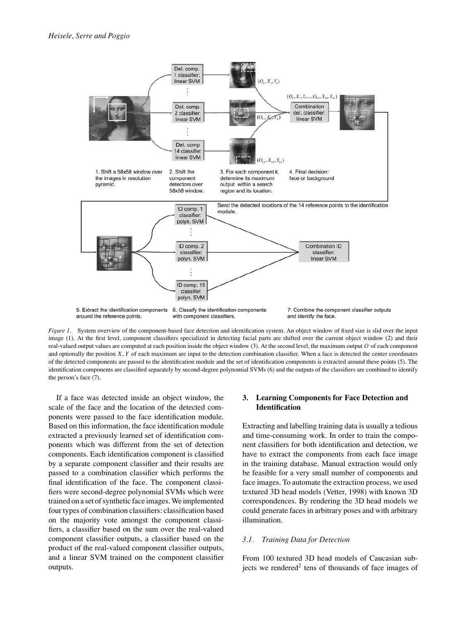

*Figure 1*. System overview of the component-based face detection and identification system. An object window of fixed size is slid over the input image (1). At the first level, component classifiers specialized in detecting facial parts are shifted over the current object window (2) and their real-valued output values are computed at each position inside the object window (3). At the second level, the maximum output *O* of each component and optionally the position  $X, Y$  of each maximum are input to the detection combination classifier. When a face is detected the center coordinates of the detected components are passed to the identification module and the set of identification components is extracted around these points (5). The identification components are classified separately by second-degree polynomial SVMs (6) and the outputs of the classifiers are combined to identify the person's face (7).

If a face was detected inside an object window, the scale of the face and the location of the detected components were passed to the face identification module. Based on this information, the face identification module extracted a previously learned set of identification components which was different from the set of detection components. Each identification component is classified by a separate component classifier and their results are passed to a combination classifier which performs the final identification of the face. The component classifiers were second-degree polynomial SVMs which were trained on a set of synthetic face images. We implemented four types of combination classifiers: classification based on the majority vote amongst the component classifiers, a classifier based on the sum over the real-valued component classifier outputs, a classifier based on the product of the real-valued component classifier outputs, and a linear SVM trained on the component classifier outputs.

### **3. Learning Components for Face Detection and Identification**

Extracting and labelling training data is usually a tedious and time-consuming work. In order to train the component classifiers for both identification and detection, we have to extract the components from each face image in the training database. Manual extraction would only be feasible for a very small number of components and face images. To automate the extraction process, we used textured 3D head models (Vetter, 1998) with known 3D correspondences. By rendering the 3D head models we could generate faces in arbitrary poses and with arbitrary illumination.

### *3.1. Training Data for Detection*

From 100 textured 3D head models of Caucasian subjects we rendered<sup>2</sup> tens of thousands of face images of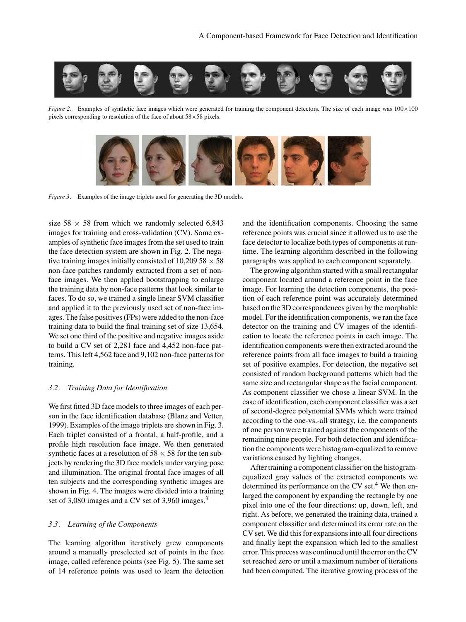

*Figure 2.* Examples of synthetic face images which were generated for training the component detectors. The size of each image was  $100\times100$ pixels corresponding to resolution of the face of about  $58 \times 58$  pixels.



*Figure 3*. Examples of the image triplets used for generating the 3D models.

size  $58 \times 58$  from which we randomly selected 6,843 images for training and cross-validation (CV). Some examples of synthetic face images from the set used to train the face detection system are shown in Fig. 2. The negative training images initially consisted of  $10,20958 \times 58$ non-face patches randomly extracted from a set of nonface images. We then applied bootstrapping to enlarge the training data by non-face patterns that look similar to faces. To do so, we trained a single linear SVM classifier and applied it to the previously used set of non-face images. The false positives (FPs) were added to the non-face training data to build the final training set of size 13,654. We set one third of the positive and negative images aside to build a CV set of 2,281 face and 4,452 non-face patterns. This left 4,562 face and 9,102 non-face patterns for training.

### *3.2. Training Data for Identification*

We first fitted 3D face models to three images of each person in the face identification database (Blanz and Vetter, 1999). Examples of the image triplets are shown in Fig. 3. Each triplet consisted of a frontal, a half-profile, and a profile high resolution face image. We then generated synthetic faces at a resolution of  $58 \times 58$  for the ten subjects by rendering the 3D face models under varying pose and illumination. The original frontal face images of all ten subjects and the corresponding synthetic images are shown in Fig. 4. The images were divided into a training set of 3,080 images and a CV set of 3,960 images.<sup>3</sup>

#### *3.3. Learning of the Components*

The learning algorithm iteratively grew components around a manually preselected set of points in the face image, called reference points (see Fig. 5). The same set of 14 reference points was used to learn the detection

and the identification components. Choosing the same reference points was crucial since it allowed us to use the face detector to localize both types of components at runtime. The learning algorithm described in the following paragraphs was applied to each component separately.

The growing algorithm started with a small rectangular component located around a reference point in the face image. For learning the detection components, the position of each reference point was accurately determined based on the 3D correspondences given by the morphable model. For the identification components, we ran the face detector on the training and CV images of the identification to locate the reference points in each image. The identification components were then extracted around the reference points from all face images to build a training set of positive examples. For detection, the negative set consisted of random background patterns which had the same size and rectangular shape as the facial component. As component classifier we chose a linear SVM. In the case of identification, each component classifier was a set of second-degree polynomial SVMs which were trained according to the one-vs.-all strategy, i.e. the components of one person were trained against the components of the remaining nine people. For both detection and identification the components were histogram-equalized to remove variations caused by lighting changes.

After training a component classifier on the histogramequalized gray values of the extracted components we determined its performance on the CV set. $4$  We then enlarged the component by expanding the rectangle by one pixel into one of the four directions: up, down, left, and right. As before, we generated the training data, trained a component classifier and determined its error rate on the CV set. We did this for expansions into all four directions and finally kept the expansion which led to the smallest error. This process was continued until the error on the CV set reached zero or until a maximum number of iterations had been computed. The iterative growing process of the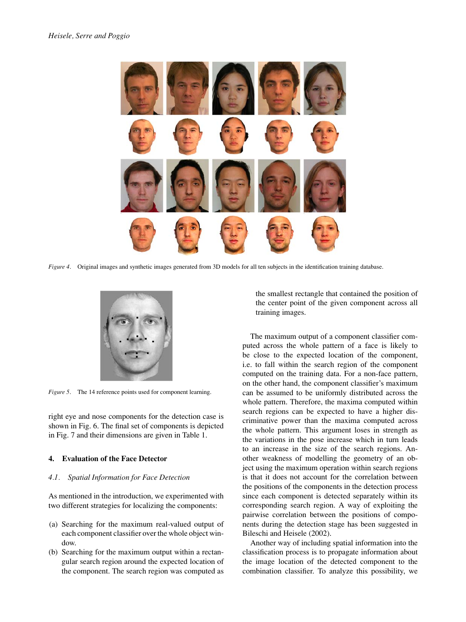

*Figure 4.* Original images and synthetic images generated from 3D models for all ten subjects in the identification training database.



*Figure 5*. The 14 reference points used for component learning.

right eye and nose components for the detection case is shown in Fig. 6. The final set of components is depicted in Fig. 7 and their dimensions are given in Table 1.

### **4. Evaluation of the Face Detector**

### *4.1. Spatial Information for Face Detection*

As mentioned in the introduction, we experimented with two different strategies for localizing the components:

- (a) Searching for the maximum real-valued output of each component classifier over the whole object window.
- (b) Searching for the maximum output within a rectangular search region around the expected location of the component. The search region was computed as

the smallest rectangle that contained the position of the center point of the given component across all training images.

The maximum output of a component classifier computed across the whole pattern of a face is likely to be close to the expected location of the component, i.e. to fall within the search region of the component computed on the training data. For a non-face pattern, on the other hand, the component classifier's maximum can be assumed to be uniformly distributed across the whole pattern. Therefore, the maxima computed within search regions can be expected to have a higher discriminative power than the maxima computed across the whole pattern. This argument loses in strength as the variations in the pose increase which in turn leads to an increase in the size of the search regions. Another weakness of modelling the geometry of an object using the maximum operation within search regions is that it does not account for the correlation between the positions of the components in the detection process since each component is detected separately within its corresponding search region. A way of exploiting the pairwise correlation between the positions of components during the detection stage has been suggested in Bileschi and Heisele (2002).

Another way of including spatial information into the classification process is to propagate information about the image location of the detected component to the combination classifier. To analyze this possibility, we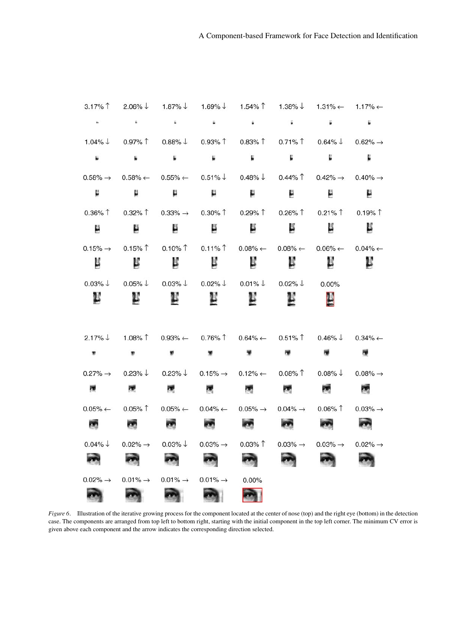

*Figure 6*. Illustration of the iterative growing process for the component located at the center of nose (top) and the right eye (bottom) in the detection case. The components are arranged from top left to bottom right, starting with the initial component in the top left corner. The minimum CV error is given above each component and the arrow indicates the corresponding direction selected.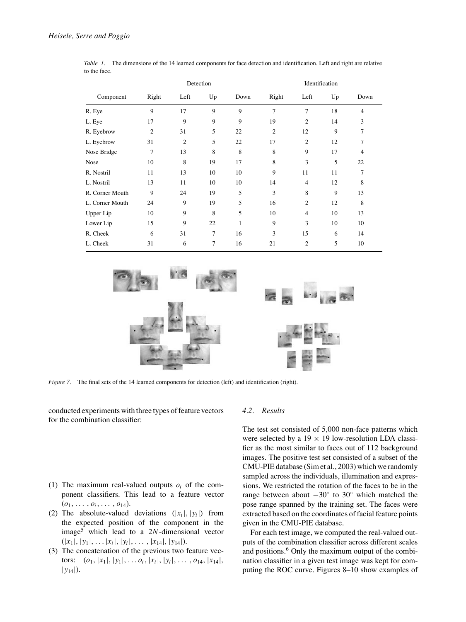|                 | Detection      |                |    |      | Identification |                |    |                |  |
|-----------------|----------------|----------------|----|------|----------------|----------------|----|----------------|--|
| Component       | Right          | Left           | Up | Down | Right          | Left           | Up | Down           |  |
| R. Eye          | 9              | 17             | 9  | 9    | $\overline{7}$ | 7              | 18 | $\overline{4}$ |  |
| L. Eye          | 17             | 9              | 9  | 9    | 19             | $\mathfrak{2}$ | 14 | 3              |  |
| R. Eyebrow      | $\overline{2}$ | 31             | 5  | 22   | $\overline{2}$ | 12             | 9  | 7              |  |
| L. Eyebrow      | 31             | $\overline{2}$ | 5  | 22   | 17             | $\overline{2}$ | 12 | 7              |  |
| Nose Bridge     | 7              | 13             | 8  | 8    | 8              | 9              | 17 | $\overline{4}$ |  |
| <b>Nose</b>     | 10             | 8              | 19 | 17   | 8              | 3              | 5  | 22             |  |
| R. Nostril      | 11             | 13             | 10 | 10   | 9              | 11             | 11 | 7              |  |
| L. Nostril      | 13             | 11             | 10 | 10   | 14             | $\overline{4}$ | 12 | 8              |  |
| R. Corner Mouth | $\mathbf{Q}$   | 24             | 19 | 5    | 3              | 8              | 9  | 13             |  |
| L. Corner Mouth | 24             | 9              | 19 | 5    | 16             | $\overline{2}$ | 12 | 8              |  |
| Upper Lip       | 10             | 9              | 8  | 5    | 10             | $\overline{4}$ | 10 | 13             |  |
| Lower Lip       | 15             | 9              | 22 | 1    | 9              | 3              | 10 | 10             |  |
| R. Cheek        | 6              | 31             | 7  | 16   | 3              | 15             | 6  | 14             |  |
| L. Cheek        | 31             | 6              | 7  | 16   | 21             | $\mathfrak{2}$ | 5  | 10             |  |

*Table 1*. The dimensions of the 14 learned components for face detection and identification. Left and right are relative to the face.



*Figure 7*. The final sets of the 14 learned components for detection (left) and identification (right).

conducted experiments with three types of feature vectors for the combination classifier:

#### *4.2. Results*

fier as the most similar to faces out of 112 background images. The positive test set consisted of a subset of the CMU-PIE database (Sim et al., 2003) which we randomly sampled across the individuals, illumination and expressions. We restricted the rotation of the faces to be in the range between about  $-30°$  to 30° which matched the pose range spanned by the training set. The faces were extracted based on the coordinates of facial feature points given in the CMU-PIE database.

> For each test image, we computed the real-valued outputs of the combination classifier across different scales and positions.<sup>6</sup> Only the maximum output of the combination classifier in a given test image was kept for computing the ROC curve. Figures 8–10 show examples of

> The test set consisted of 5,000 non-face patterns which were selected by a  $19 \times 19$  low-resolution LDA classi-

- (1) The maximum real-valued outputs  $o_i$  of the component classifiers. This lead to a feature vector  $(o_1, \ldots, o_i, \ldots, o_{14}).$
- (2) The absolute-valued deviations  $(|x_i|, |y_i|)$  from the expected position of the component in the image<sup>5</sup> which lead to a  $2N$ -dimensional vector  $(|x_1|, |y_1|, \ldots, |x_i|, |y_i|, \ldots, |x_{14}|, |y_{14}|).$
- (3) The concatenation of the previous two feature vectors:  $(o_1, |x_1|, |y_1|, \ldots, o_i, |x_i|, |y_i|, \ldots, o_{14}, |x_{14}|,$  $|y_{14}|$ .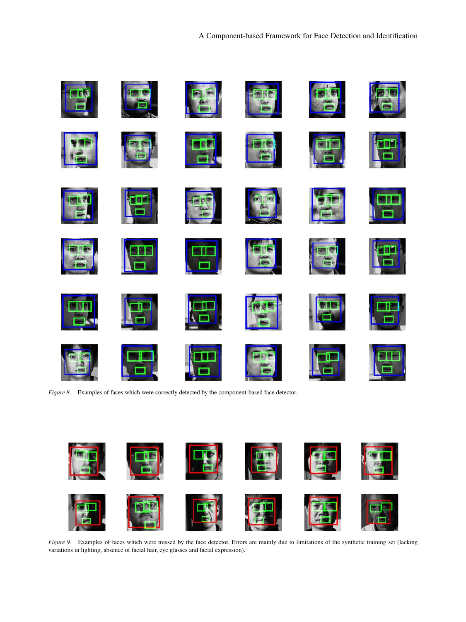## A Component-based Framework for Face Detection and Identification



*Figure 8*. Examples of faces which were correctly detected by the component-based face detector.



*Figure 9.* Examples of faces which were missed by the face detector. Errors are mainly due to limitations of the synthetic training set (lacking variations in lighting, absence of facial hair, eye glasses and facial expression).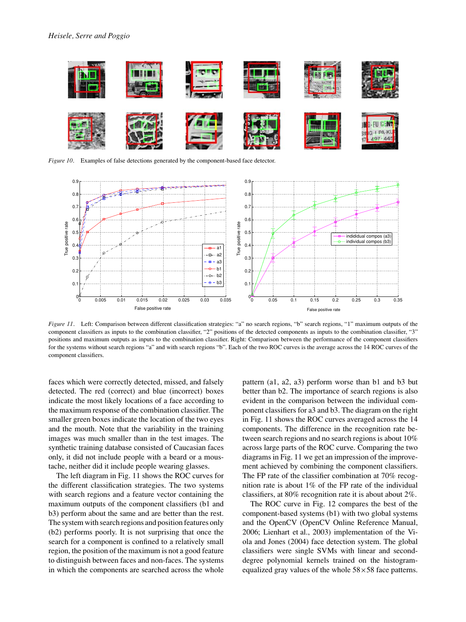

*Figure 10*. Examples of false detections generated by the component-based face detector.



*Figure 11*. Left: Comparison between different classification strategies: "a" no search regions, "b" search regions, "1" maximum outputs of the component classifiers as inputs to the combination classifier, "2" positions of the detected components as inputs to the combination classifier, "3" positions and maximum outputs as inputs to the combination classifier. Right: Comparison between the performance of the component classifiers for the systems without search regions "a" and with search regions "b". Each of the two ROC curves is the average across the 14 ROC curves of the component classifiers.

faces which were correctly detected, missed, and falsely detected. The red (correct) and blue (incorrect) boxes indicate the most likely locations of a face according to the maximum response of the combination classifier. The smaller green boxes indicate the location of the two eyes and the mouth. Note that the variability in the training images was much smaller than in the test images. The synthetic training database consisted of Caucasian faces only, it did not include people with a beard or a moustache, neither did it include people wearing glasses.

The left diagram in Fig. 11 shows the ROC curves for the different classification strategies. The two systems with search regions and a feature vector containing the maximum outputs of the component classifiers (b1 and b3) perform about the same and are better than the rest. The system with search regions and position features only (b2) performs poorly. It is not surprising that once the search for a component is confined to a relatively small region, the position of the maximum is not a good feature to distinguish between faces and non-faces. The systems in which the components are searched across the whole

pattern (a1, a2, a3) perform worse than b1 and b3 but better than b2. The importance of search regions is also evident in the comparison between the individual component classifiers for a3 and b3. The diagram on the right in Fig. 11 shows the ROC curves averaged across the 14 components. The difference in the recognition rate between search regions and no search regions is about 10% across large parts of the ROC curve. Comparing the two diagrams in Fig. 11 we get an impression of the improvement achieved by combining the component classifiers. The FP rate of the classifier combination at 70% recognition rate is about 1% of the FP rate of the individual classifiers, at 80% recognition rate it is about about 2%.

The ROC curve in Fig. 12 compares the best of the component-based systems (b1) with two global systems and the OpenCV (OpenCV Online Reference Manual, 2006; Lienhart et al., 2003) implementation of the Viola and Jones (2004) face detection system. The global classifiers were single SVMs with linear and seconddegree polynomial kernels trained on the histogramequalized gray values of the whole  $58\times58$  face patterns.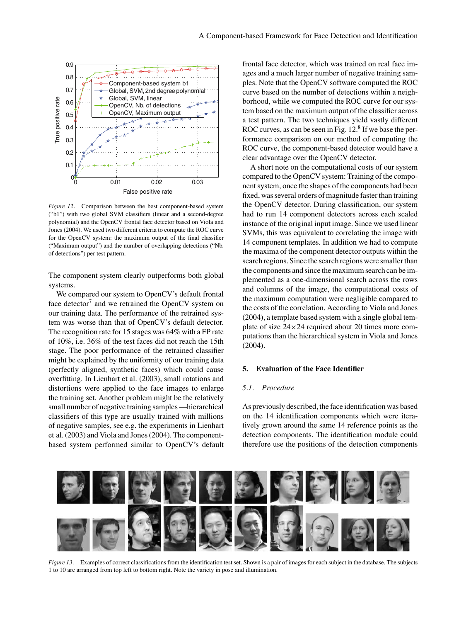

*Figure 12*. Comparison between the best component-based system ("b1") with two global SVM classifiers (linear and a second-degree polynomial) and the OpenCV frontal face detector based on Viola and Jones (2004). We used two different criteria to compute the ROC curve for the OpenCV system: the maximum output of the final classifier ("Maximum output") and the number of overlapping detections ("Nb. of detections") per test pattern.

The component system clearly outperforms both global systems.

We compared our system to OpenCV's default frontal face detector<sup>7</sup> and we retrained the OpenCV system on our training data. The performance of the retrained system was worse than that of OpenCV's default detector. The recognition rate for 15 stages was 64% with a FP rate of 10%, i.e. 36% of the test faces did not reach the 15th stage. The poor performance of the retrained classifier might be explained by the uniformity of our training data (perfectly aligned, synthetic faces) which could cause overfitting. In Lienhart et al. (2003), small rotations and distortions were applied to the face images to enlarge the training set. Another problem might be the relatively small number of negative training samples —hierarchical classifiers of this type are usually trained with millions of negative samples, see e.g. the experiments in Lienhart et al. (2003) and Viola and Jones (2004). The componentbased system performed similar to OpenCV's default

frontal face detector, which was trained on real face images and a much larger number of negative training samples. Note that the OpenCV software computed the ROC curve based on the number of detections within a neighborhood, while we computed the ROC curve for our system based on the maximum output of the classifier across a test pattern. The two techniques yield vastly different ROC curves, as can be seen in Fig.  $12<sup>8</sup>$  If we base the performance comparison on our method of computing the ROC curve, the component-based detector would have a clear advantage over the OpenCV detector.

A short note on the computational costs of our system compared to the OpenCV system: Training of the component system, once the shapes of the components had been fixed, was several orders of magnitude faster than training the OpenCV detector. During classification, our system had to run 14 component detectors across each scaled instance of the original input image. Since we used linear SVMs, this was equivalent to correlating the image with 14 component templates. In addition we had to compute the maxima of the component detector outputs within the search regions. Since the search regions were smaller than the components and since the maximum search can be implemented as a one-dimensional search across the rows and columns of the image, the computational costs of the maximum computation were negligible compared to the costs of the correlation. According to Viola and Jones (2004), a template based system with a single global template of size  $24\times24$  required about 20 times more computations than the hierarchical system in Viola and Jones (2004).

### **5. Evaluation of the Face Identifier**

### *5.1. Procedure*

As previously described, the face identification was based on the 14 identification components which were iteratively grown around the same 14 reference points as the detection components. The identification module could therefore use the positions of the detection components



*Figure 13.* Examples of correct classifications from the identification test set. Shown is a pair of images for each subject in the database. The subjects 1 to 10 are arranged from top left to bottom right. Note the variety in pose and illumination.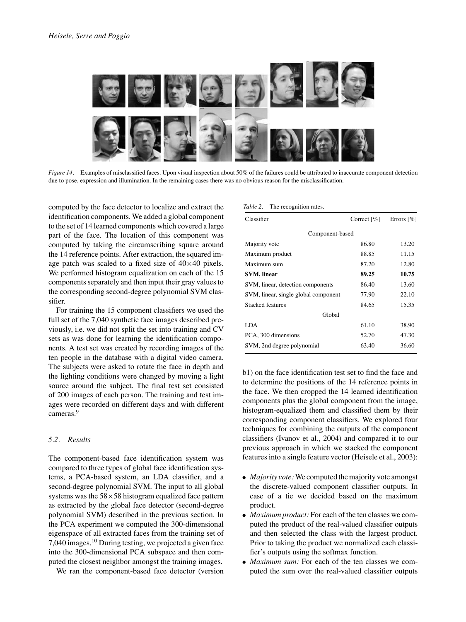

*Figure 14*. Examples of misclassified faces. Upon visual inspection about 50% of the failures could be attributed to inaccurate component detection due to pose, expression and illumination. In the remaining cases there was no obvious reason for the misclassification.

computed by the face detector to localize and extract the identification components. We added a global component to the set of 14 learned components which covered a large part of the face. The location of this component was computed by taking the circumscribing square around the 14 reference points. After extraction, the squared image patch was scaled to a fixed size of  $40\times40$  pixels. We performed histogram equalization on each of the 15 components separately and then input their gray values to the corresponding second-degree polynomial SVM classifier.

For training the 15 component classifiers we used the full set of the 7,040 synthetic face images described previously, i.e. we did not split the set into training and CV sets as was done for learning the identification components. A test set was created by recording images of the ten people in the database with a digital video camera. The subjects were asked to rotate the face in depth and the lighting conditions were changed by moving a light source around the subject. The final test set consisted of 200 images of each person. The training and test images were recorded on different days and with different cameras.<sup>9</sup>

#### *5.2. Results*

The component-based face identification system was compared to three types of global face identification systems, a PCA-based system, an LDA classifier, and a second-degree polynomial SVM. The input to all global systems was the  $58\times58$  histogram equalized face pattern as extracted by the global face detector (second-degree polynomial SVM) described in the previous section. In the PCA experiment we computed the 300-dimensional eigenspace of all extracted faces from the training set of 7,040 images.<sup>10</sup> During testing, we projected a given face into the 300-dimensional PCA subspace and then computed the closest neighbor amongst the training images.

We ran the component-based face detector (version

*Table 2*. The recognition rates.

| Classifier                           | Correct $[\%]$ | Errors $\lceil \% \rceil$ |  |  |  |  |  |
|--------------------------------------|----------------|---------------------------|--|--|--|--|--|
| Component-based                      |                |                           |  |  |  |  |  |
| Majority vote                        | 86.80          | 13.20                     |  |  |  |  |  |
| Maximum product                      | 88.85          | 11.15                     |  |  |  |  |  |
| Maximum sum                          | 87.20          | 12.80                     |  |  |  |  |  |
| <b>SVM</b> , linear                  | 89.25          | 10.75                     |  |  |  |  |  |
| SVM, linear, detection components    | 86.40          | 13.60                     |  |  |  |  |  |
| SVM, linear, single global component | 77.90          | 22.10                     |  |  |  |  |  |
| <b>Stacked features</b>              | 84.65          | 15.35                     |  |  |  |  |  |
| Global                               |                |                           |  |  |  |  |  |
| LDA                                  | 61.10          | 38.90                     |  |  |  |  |  |
| PCA, 300 dimensions                  | 52.70          | 47.30                     |  |  |  |  |  |
| SVM, 2nd degree polynomial           | 63.40          | 36.60                     |  |  |  |  |  |
|                                      |                |                           |  |  |  |  |  |

b1) on the face identification test set to find the face and to determine the positions of the 14 reference points in the face. We then cropped the 14 learned identification components plus the global component from the image, histogram-equalized them and classified them by their corresponding component classifiers. We explored four techniques for combining the outputs of the component classifiers (Ivanov et al., 2004) and compared it to our previous approach in which we stacked the component features into a single feature vector (Heisele et al., 2003):

- *Majority vote:* We computed the majority vote amongst the discrete-valued component classifier outputs. In case of a tie we decided based on the maximum product.
- *Maximum product:* For each of the ten classes we computed the product of the real-valued classifier outputs and then selected the class with the largest product. Prior to taking the product we normalized each classifier's outputs using the softmax function.
- *Maximum sum:* For each of the ten classes we computed the sum over the real-valued classifier outputs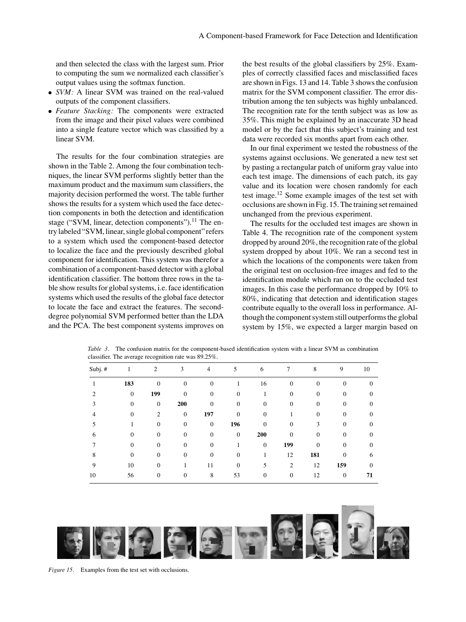and then selected the class with the largest sum. Prior to computing the sum we normalized each classifier's output values using the softmax function.

- *SVM:* A linear SVM was trained on the real-valued outputs of the component classifiers.
- *Feature Stacking:* The components were extracted from the image and their pixel values were combined into a single feature vector which was classified by a linear SVM.

The results for the four combination strategies are shown in the Table 2. Among the four combination techniques, the linear SVM performs slightly better than the maximum product and the maximum sum classifiers, the majority decision performed the worst. The table further shows the results for a system which used the face detection components in both the detection and identification stage ("SVM, linear, detection components"). $<sup>11</sup>$  The en-</sup> try labeled "SVM, linear, single global component" refers to a system which used the component-based detector to localize the face and the previously described global component for identification. This system was therefor a combination of a component-based detector with a global identification classifier. The bottom three rows in the table show results for global systems, i.e. face identification systems which used the results of the global face detector to locate the face and extract the features. The seconddegree polynomial SVM performed better than the LDA and the PCA. The best component systems improves on

the best results of the global classifiers by 25%. Examples of correctly classified faces and misclassified faces are shown in Figs. 13 and 14. Table 3 shows the confusion matrix for the SVM component classifier. The error distribution among the ten subjects was highly unbalanced. The recognition rate for the tenth subject was as low as 35%. This might be explained by an inaccurate 3D head model or by the fact that this subject's training and test data were recorded six months apart from each other.

In our final experiment we tested the robustness of the systems against occlusions. We generated a new test set by pasting a rectangular patch of uniform gray value into each test image. The dimensions of each patch, its gay value and its location were chosen randomly for each test image.<sup>12</sup> Some example images of the test set with occlusions are shown in Fig. 15. The training set remained unchanged from the previous experiment.

The results for the occluded test images are shown in Table 4. The recognition rate of the component system dropped by around 20%, the recognition rate of the global system dropped by about 10%. We ran a second test in which the locations of the components were taken from the original test on occlusion-free images and fed to the identification module which ran on to the occluded test images. In this case the performance dropped by 10% to 80%, indicating that detection and identification stages contribute equally to the overall loss in performance. Although the component system still outperforms the global system by 15%, we expected a larger margin based on

| Subj. $#$     |              | 2            | 3            | 4              | 5            | 6            | 7              | 8            | 9            | 10     |
|---------------|--------------|--------------|--------------|----------------|--------------|--------------|----------------|--------------|--------------|--------|
|               | 183          | $\theta$     | $\theta$     | $\mathbf{0}$   |              | 16           | $\theta$       | $\mathbf{0}$ | $\Omega$     | $^{0}$ |
| $\mathcal{L}$ | $\mathbf{0}$ | 199          | $\Omega$     | $\overline{0}$ | $\Omega$     |              | $\Omega$       | $\Omega$     | $\Omega$     | 0      |
| 3             | $\Omega$     | $\theta$     | 200          | $\Omega$       | $\mathbf{0}$ | $\Omega$     | $\theta$       | $\Omega$     | $\Omega$     | 0      |
| 4             | $\Omega$     | 2            | $\mathbf{0}$ | 197            | $\mathbf{0}$ | $\Omega$     |                | $\Omega$     | $\Omega$     | 0      |
|               |              | $\theta$     | $\Omega$     | $\overline{0}$ | 196          | $\Omega$     | $\Omega$       | 3            | $\Omega$     | 0      |
| 6             | $\Omega$     | $\Omega$     | $\Omega$     | $\theta$       | $\mathbf{0}$ | 200          | $\Omega$       | $\theta$     | $\Omega$     |        |
|               | $\Omega$     | $\Omega$     | $\Omega$     | $\Omega$       |              | $\theta$     | 199            | $\mathbf{0}$ | $\Omega$     |        |
| 8             | $\Omega$     | $\Omega$     | $\Omega$     | $\Omega$       | $\Omega$     |              | 12             | 181          | $\Omega$     | 6      |
| 9             | 10           | $\Omega$     |              | 11             | $\Omega$     | 5            | $\overline{2}$ | 12           | 159          |        |
| 10            | 56           | $\mathbf{0}$ | $\Omega$     | 8              | 53           | $\mathbf{0}$ | $\theta$       | 12           | $\mathbf{0}$ | 71     |

*Table 3*. The confusion matrix for the component-based identification system with a linear SVM as combination classifier. The average recognition rate was 80.25%



*Figure 15*. Examples from the test set with occlusions.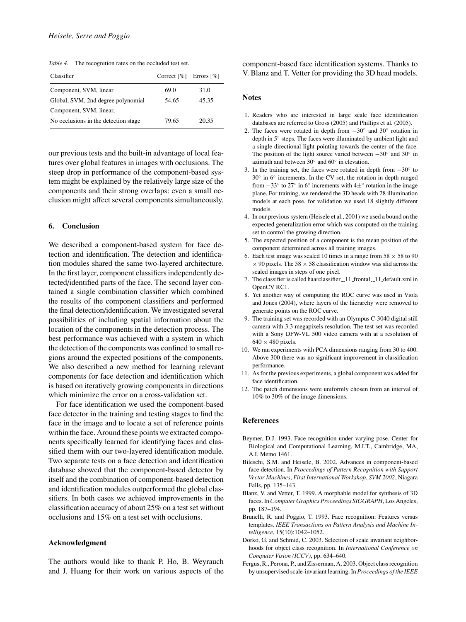*Table 4*. The recognition rates on the occluded test set.

| Classifier                            | Correct $\lceil \% \rceil$ Errors $\lceil \% \rceil$ |       |
|---------------------------------------|------------------------------------------------------|-------|
| Component, SVM, linear                | 69.0                                                 | 31.0  |
| Global, SVM, 2nd degree polynomial    | 54.65                                                | 45.35 |
| Component, SVM, linear,               |                                                      |       |
| No occlusions in the detection stage. | 79.65                                                | 20.35 |
|                                       |                                                      |       |

our previous tests and the built-in advantage of local features over global features in images with occlusions. The steep drop in performance of the component-based system might be explained by the relatively large size of the components and their strong overlaps: even a small occlusion might affect several components simultaneously.

### **6. Conclusion**

We described a component-based system for face detection and identification. The detection and identification modules shared the same two-layered architecture. In the first layer, component classifiers independently detected/identified parts of the face. The second layer contained a single combination classifier which combined the results of the component classifiers and performed the final detection/identification. We investigated several possibilities of including spatial information about the location of the components in the detection process. The best performance was achieved with a system in which the detection of the components was confined to small regions around the expected positions of the components. We also described a new method for learning relevant components for face detection and identification which is based on iteratively growing components in directions which minimize the error on a cross-validation set.

For face identification we used the component-based face detector in the training and testing stages to find the face in the image and to locate a set of reference points within the face. Around these points we extracted components specifically learned for identifying faces and classified them with our two-layered identification module. Two separate tests on a face detection and identification database showed that the component-based detector by itself and the combination of component-based detection and identification modules outperformed the global classifiers. In both cases we achieved improvements in the classification accuracy of about 25% on a test set without occlusions and 15% on a test set with occlusions.

### **Acknowledgment**

The authors would like to thank P. Ho, B. Weyrauch and J. Huang for their work on various aspects of the

component-based face identification systems. Thanks to V. Blanz and T. Vetter for providing the 3D head models.

### **Notes**

- 1. Readers who are interested in large scale face identification databases are referred to Gross (2005) and Phillips et al. (2005).
- 2. The faces were rotated in depth from −30◦ and 30◦ rotation in depth in 5◦ steps. The faces were illuminated by ambient light and a single directional light pointing towards the center of the face. The position of the light source varied between  $-30°$  and  $30°$  in azimuth and between 30◦ and 60◦ in elevation.
- 3. In the training set, the faces were rotated in depth from  $-30°$  to 30◦ in 6◦ increments. In the CV set, the rotation in depth ranged from  $-33°$  to 27° in 6° increments with 4 $\pm$ ° rotation in the image plane. For training, we rendered the 3D heads with 28 illumination models at each pose, for validation we used 18 slightly different models.
- 4. In our previous system (Heisele et al., 2001) we used a bound on the expected generalization error which was computed on the training set to control the growing direction.
- 5. The expected position of a component is the mean position of the component determined across all training images.
- 6. Each test image was scaled 10 times in a range from  $58 \times 58$  to 90  $\times$  90 pixels. The 58  $\times$  58 classification window was slid across the scaled images in steps of one pixel.
- 7. The classifier is called haarclassifier 11 frontal 11 default.xml in OpenCV RC1.
- 8. Yet another way of computing the ROC curve was used in Viola and Jones (2004), where layers of the hierarchy were removed to generate points on the ROC curve.
- 9. The training set was recorded with an Olympus C-3040 digital still camera with 3.3 megapixels resolution. The test set was recorded with a Sony DFW-VL 500 video camera with at a resolution of  $640 \times 480$  pixels.
- 10. We ran experiments with PCA dimensions ranging from 30 to 400. Above 300 there was no significant improvement in classification performance.
- 11. As for the previous experiments, a global component was added for face identification.
- 12. The patch dimensions were uniformly chosen from an interval of 10% to 30% of the image dimensions.

### **References**

- Beymer, D.J. 1993. Face recognition under varying pose. Center for Biological and Computational Learning, M.I.T., Cambridge, MA, A.I. Memo 1461.
- Bileschi, S.M. and Heisele, B. 2002. Advances in component-based face detection. In *Proceedings of Pattern Recognition with Support Vector Machines, First International Workshop, SVM 2002*, Niagara Falls, pp. 135–143.
- Blanz, V. and Vetter, T. 1999. A morphable model for synthesis of 3D faces. In*Computer Graphics Proceedings SIGGRAPH*, Los Angeles, pp. 187–194.
- Brunelli, R. and Poggio, T. 1993. Face recognition: Features versus templates. *IEEE Transactions on Pattern Analysis and Machine Intelligence*, 15(10):1042–1052.
- Dorko, G. and Schmid, C. 2003. Selection of scale invariant neighborhoods for object class recognition. In *International Conference on Computer Vision (ICCV)*, pp. 634–640.
- Fergus, R., Perona, P., and Zisserman, A. 2003. Object class recognition by unsupervised scale-invariant learning. In *Proceedings of the IEEE*